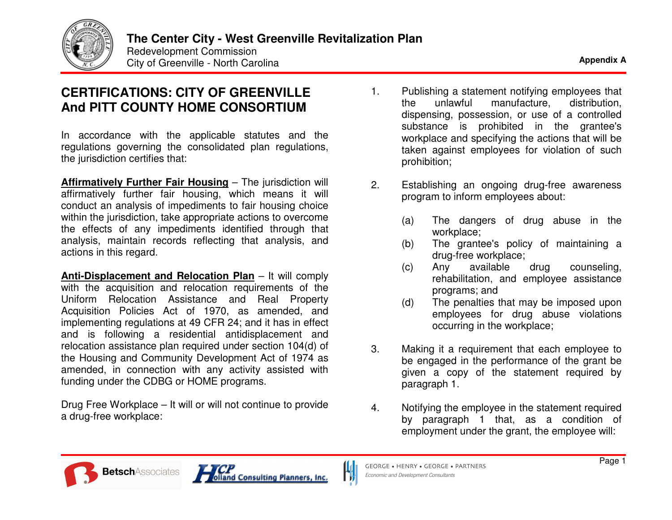

## **CERTIFICATIONS: CITYOFGREENVILLEAndPITTCOUNTYHOMECONSORTIUM**

In accordance with the applicable statutes and the regulations governing the consolidated plan regulations, th e juris dictio n c ertifie s th at:

**Affirmatively Further Fair Housing - The jurisdiction will** affirmatively further fair housing, which means it will conduct an analysis of impediments to fair housing choice within the jurisdiction, take appropriate actions to overcome the effects of any impediments identified through that analysis, maintain records reflecting that analysis, and actions in this regard.

**<u>Anti-Displacement and Relocation Plan</u> – It will comply** with the acquisition and relocation requirements of the Uniform Relocation Assistance and Real Property Acquisition Policies Act of 1970, as amended, and implementing regulations at 49 CFR 24; and it has in effect and is following a residential antidisplacement and relocation assistance plan required under section 104(d) of the Housing and Community Development Act of 1974 as amended, in connection with any activity assisted with funding under the CDBG or HOME programs.

Drug Free Workplace – It will or will not continue to provide a dru g-fre e w ork pla c e:

- 1.. Publishing a statement notifying employees that theunlawful manufacture, distrib ution, dispensing, possession, or use of a controlled s u b sta n c e is pro hibite d in th e gra nte e's workplace and specifying the actions that will be taken against employees for violation of such pro hibition;
- 2.. Establishing an ongoing drug-free awareness program to inform employees about:
	- $(a)$ he dangers of drug abuse in the workpla ce;
	- $(b)$ he grantee's policy of maintaining a dru g-fre e w ork pla c e;
	- $(c)$ ny availabledrug counseling, rehabilitation, and employee assistance pro gra ms; a n d
	- $(d)$ he penalties that may be imposed upon employees for drug abuse violations occurring in the workplace;
- 3.. Making it a requirement that each employee to be engaged in the performance of the grant be given a copy of the statement required by p ara gra p h 1.
- 4.. Notifying the employee in the statement required by paragraph 1 that, as a condition of employment under the grant, the employee will:



L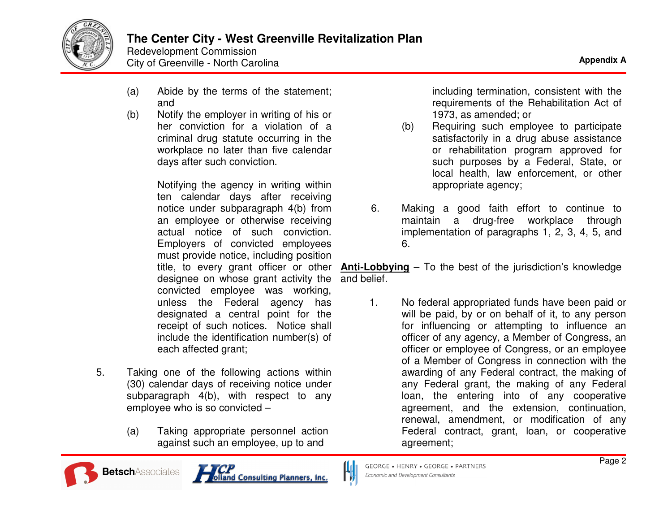

Redevelopment Commission City of Greenville - North Carolina **Appendix** A

- (a) Abide by the terms of the statement; and
- (b) Notify the employer in writing of his or her conviction for a violation of a criminal drug statute occurring in the workplace no later than five calendar days after such conviction.

Notifying the agency in writing within ten calendar days after receiving notice under subparagraph 4(b) from an employee or otherwise receiving actual notice of such conviction. Employers of convicted employees must provide notice, including position designee on whose grant activity the convicted employee was working, unless the Federal agency has designated <sup>a</sup> central point for the receipt of such notices. Notice shall include the identification number(s) of each affected grant;

- 5. Taking one of the following actions within (30) calendar days of receiving notice under subparagraph 4(b), with respect to any employee who is so convicted –
	- (a) Taking appropriate personnel action against such an employee, up to and

including termination, consistent with the requirements of the Rehabilitation Act of 1973, as amended; or

- (b) Requiring such employee to participate satisfactorily in <sup>a</sup> drug abuse assistance or rehabilitation program approved for such purposes by <sup>a</sup> Federal, State, or local health, law enforcement, or other appropriate agency;
- 6. Making <sup>a</sup> good faith effort to continue to maintain <sup>a</sup> drug-free workplace through implementation of paragraphs 1, 2, 3, 4, 5, and 6.

title, to every grant officer or other **Anti-Lobbying** – To the best of the jurisdiction's knowledge and belief.

> 1. No federal appropriated funds have been paid or will be paid, by or on behalf of it, to any person for influencing or attempting to influence an officer of any agency, <sup>a</sup> Member of Congress, an officer or employee of Congress, or an employee of a Member of Congress in connection with the awarding of any Federal contract, the making of any Federal grant, the making of any Federal loan, the entering into of any cooperative agreement, and the extension, continuation, renewal, amendment, or modification of any Federal contract, grant, loan, or cooperative agreement;





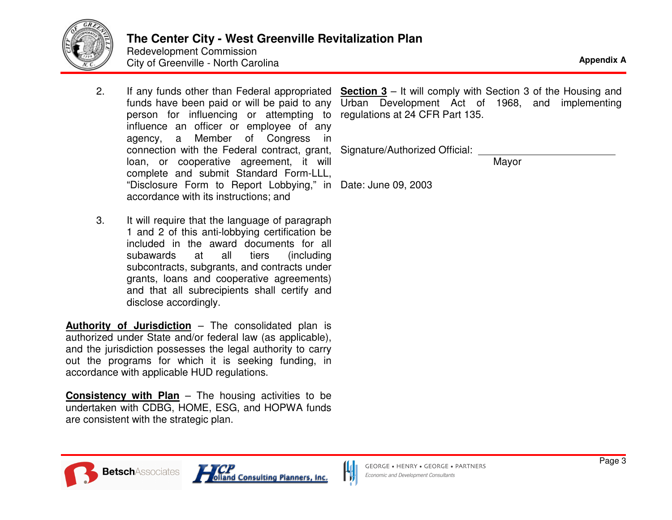

## **The Center City - West Greenville Revitalization Plan**

Redevelopment Commission City of Greenville - North Carolina **Appendix** A

- 2.person for influencing or attempting to influence an officer or employee of any agency, <sup>a</sup> Member of Congress in connection with the Federal contract, grant, loan, or cooperative agreement, it will complete and submit Standard Form-LLL, "Disclosure Form to Report Lobbying," in Date: June 09, 2003accordance with its instructions; and
- 3. It will require that the language of paragraph 1 and 2 of this anti-lobbying certification be included in the award documents for all subawards at all tiers (including subcontracts, subgrants, and contracts under grants, loans and cooperative agreements) and that all subrecipients shall certify and disclose accordingly.

**Authority of Jurisdiction** – The consolidated plan is authorized under State and/or federal law (as applicable), and the jurisdiction possesses the legal authority to carry out the programs for which it is seeking funding, in accordance with applicable HUD regulations.

**Consistency with Plan** – The housing activities to be undertaken with CDBG, HOME, ESG, and HOPWA funds are consistent with the strategic plan.

. If any funds other than Federal appropriated Section 3 – It will comply with Section 3 of the Housing and funds have been paid or will be paid to any Urban Development Act of 1968, and implementing regulations at 24 CFR Part 135.

Signature/Authorized Official:

Mayor